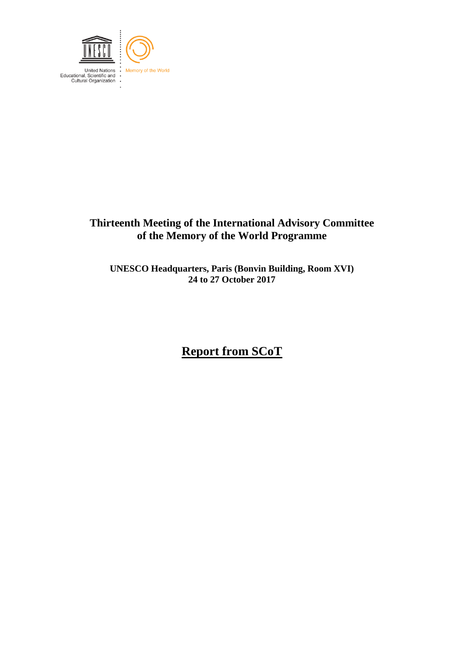

## **Thirteenth Meeting of the International Advisory Committee of the Memory of the World Programme**

**UNESCO Headquarters, Paris (Bonvin Building, Room XVI) 24 to 27 October 2017**

# **Report from SCoT**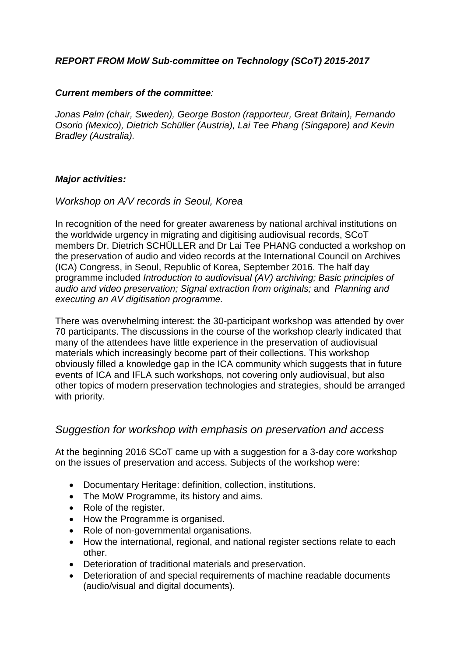## *REPORT FROM MoW Sub-committee on Technology (SCoT) 2015-2017*

#### *Current members of the committee:*

*Jonas Palm (chair, Sweden), George Boston (rapporteur, Great Britain), Fernando Osorio (Mexico), Dietrich Schüller (Austria), Lai Tee Phang (Singapore) and Kevin Bradley (Australia).* 

## *Major activities:*

## *Workshop on A/V records in Seoul, Korea*

In recognition of the need for greater awareness by national archival institutions on the worldwide urgency in migrating and digitising audiovisual records, SCoT members Dr. Dietrich SCHÜLLER and Dr Lai Tee PHANG conducted a workshop on the preservation of audio and video records at the International Council on Archives (ICA) Congress, in Seoul, Republic of Korea, September 2016. The half day programme included *Introduction to audiovisual (AV) archiving; Basic principles of audio and video preservation; Signal extraction from originals;* and *Planning and executing an AV digitisation programme.*

There was overwhelming interest: the 30-participant workshop was attended by over 70 participants. The discussions in the course of the workshop clearly indicated that many of the attendees have little experience in the preservation of audiovisual materials which increasingly become part of their collections. This workshop obviously filled a knowledge gap in the ICA community which suggests that in future events of ICA and IFLA such workshops, not covering only audiovisual, but also other topics of modern preservation technologies and strategies, should be arranged with priority.

## *Suggestion for workshop with emphasis on preservation and access*

At the beginning 2016 SCoT came up with a suggestion for a 3-day core workshop on the issues of preservation and access. Subjects of the workshop were:

- Documentary Heritage: definition, collection, institutions.
- The MoW Programme, its history and aims.
- Role of the register.
- How the Programme is organised.
- Role of non-governmental organisations.
- How the international, regional, and national register sections relate to each other.
- Deterioration of traditional materials and preservation.
- Deterioration of and special requirements of machine readable documents (audio/visual and digital documents).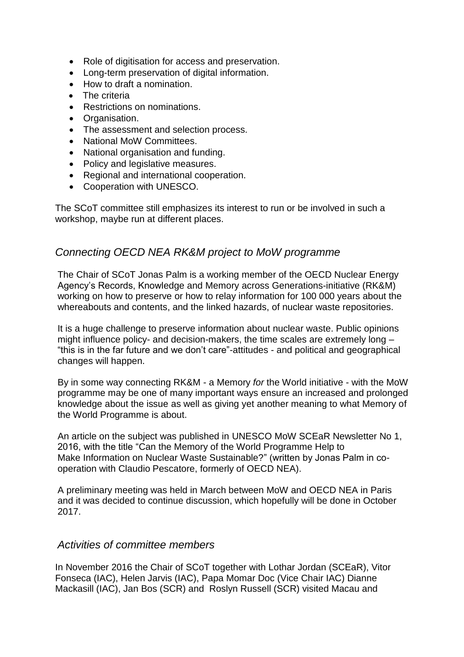- Role of digitisation for access and preservation.
- Long-term preservation of digital information.
- How to draft a nomination.
- The criteria
- Restrictions on nominations.
- Organisation.
- The assessment and selection process.
- National MoW Committees.
- National organisation and funding.
- Policy and legislative measures.
- Regional and international cooperation.
- Cooperation with UNESCO.

The SCoT committee still emphasizes its interest to run or be involved in such a workshop, maybe run at different places.

## *Connecting OECD NEA RK&M project to MoW programme*

The Chair of SCoT Jonas Palm is a working member of the OECD Nuclear Energy Agency's Records, Knowledge and Memory across Generations-initiative (RK&M) working on how to preserve or how to relay information for 100 000 years about the whereabouts and contents, and the linked hazards, of nuclear waste repositories.

It is a huge challenge to preserve information about nuclear waste. Public opinions might influence policy- and decision-makers, the time scales are extremely long – "this is in the far future and we don't care"-attitudes - and political and geographical changes will happen.

By in some way connecting RK&M - a Memory *for* the World initiative - with the MoW programme may be one of many important ways ensure an increased and prolonged knowledge about the issue as well as giving yet another meaning to what Memory of the World Programme is about.

An article on the subject was published in UNESCO MoW SCEaR Newsletter No 1, 2016, with the title "Can the Memory of the World Programme Help to Make Information on Nuclear Waste Sustainable?" (written by Jonas Palm in cooperation with Claudio Pescatore, formerly of OECD NEA).

A preliminary meeting was held in March between MoW and OECD NEA in Paris and it was decided to continue discussion, which hopefully will be done in October 2017.

## *Activities of committee members*

In November 2016 the Chair of SCoT together with Lothar Jordan (SCEaR), Vitor Fonseca (IAC), Helen Jarvis (IAC), Papa Momar Doc (Vice Chair IAC) Dianne Mackasill (IAC), Jan Bos (SCR) and Roslyn Russell (SCR) visited Macau and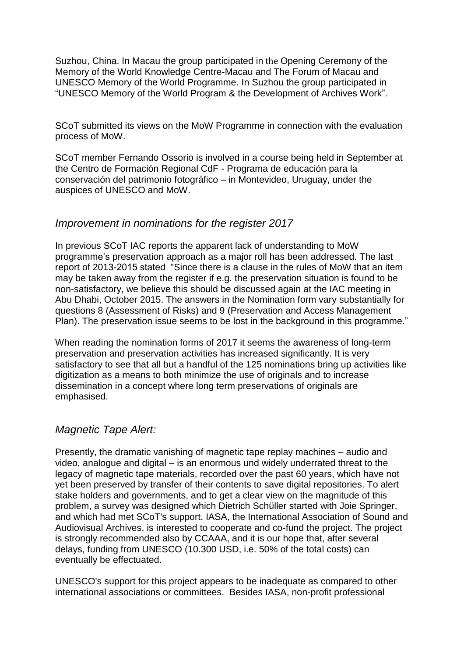Suzhou, China. In Macau the group participated in the Opening Ceremony of the Memory of the World Knowledge Centre-Macau and The Forum of Macau and UNESCO Memory of the World Programme. In Suzhou the group participated in "UNESCO Memory of the World Program & the Development of Archives Work".

SCoT submitted its views on the MoW Programme in connection with the evaluation process of MoW.

SCoT member Fernando Ossorio is involved in a course being held in September at the Centro de Formación Regional CdF - Programa de educación para la conservación del patrimonio fotográfico – in Montevideo, Uruguay, under the auspices of UNESCO and MoW.

## *Improvement in nominations for the register 2017*

In previous SCoT IAC reports the apparent lack of understanding to MoW programme's preservation approach as a major roll has been addressed. The last report of 2013-2015 stated "Since there is a clause in the rules of MoW that an item may be taken away from the register if e.g. the preservation situation is found to be non-satisfactory, we believe this should be discussed again at the IAC meeting in Abu Dhabi, October 2015. The answers in the Nomination form vary substantially for questions 8 (Assessment of Risks) and 9 (Preservation and Access Management Plan). The preservation issue seems to be lost in the background in this programme."

When reading the nomination forms of 2017 it seems the awareness of long-term preservation and preservation activities has increased significantly. It is very satisfactory to see that all but a handful of the 125 nominations bring up activities like digitization as a means to both minimize the use of originals and to increase dissemination in a concept where long term preservations of originals are emphasised.

## *Magnetic Tape Alert:*

Presently, the dramatic vanishing of magnetic tape replay machines – audio and video, analogue and digital – is an enormous und widely underrated threat to the legacy of magnetic tape materials, recorded over the past 60 years, which have not yet been preserved by transfer of their contents to save digital repositories. To alert stake holders and governments, and to get a clear view on the magnitude of this problem, a survey was designed which Dietrich Schüller started with Joie Springer, and which had met SCoT's support. IASA, the International Association of Sound and Audiovisual Archives, is interested to cooperate and co-fund the project. The project is strongly recommended also by CCAAA, and it is our hope that, after several delays, funding from UNESCO (10.300 USD, i.e. 50% of the total costs) can eventually be effectuated.

UNESCO's support for this project appears to be inadequate as compared to other international associations or committees. Besides IASA, non-profit professional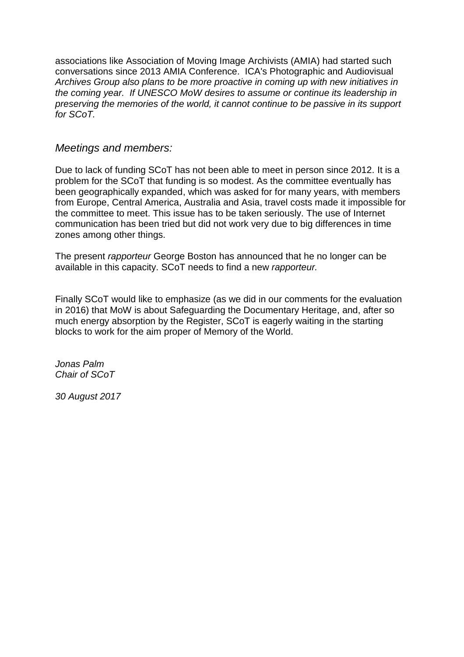associations like Association of Moving Image Archivists (AMIA) had started such conversations since 2013 AMIA Conference. ICA's Photographic and Audiovisual *Archives Group also plans to be more proactive in coming up with new initiatives in the coming year. If UNESCO MoW desires to assume or continue its leadership in preserving the memories of the world, it cannot continue to be passive in its support for SCoT.* 

## *Meetings and members:*

Due to lack of funding SCoT has not been able to meet in person since 2012. It is a problem for the SCoT that funding is so modest. As the committee eventually has been geographically expanded, which was asked for for many years, with members from Europe, Central America, Australia and Asia, travel costs made it impossible for the committee to meet. This issue has to be taken seriously. The use of Internet communication has been tried but did not work very due to big differences in time zones among other things.

The present *rapporteur* George Boston has announced that he no longer can be available in this capacity. SCoT needs to find a new *rapporteur.*

Finally SCoT would like to emphasize (as we did in our comments for the evaluation in 2016) that MoW is about Safeguarding the Documentary Heritage, and, after so much energy absorption by the Register, SCoT is eagerly waiting in the starting blocks to work for the aim proper of Memory of the World.

*Jonas Palm Chair of SCoT*

*30 August 2017*